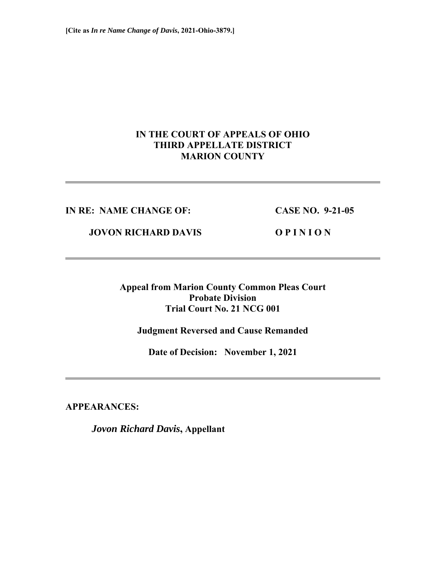# **IN THE COURT OF APPEALS OF OHIO THIRD APPELLATE DISTRICT MARION COUNTY**

### **IN RE: NAME CHANGE OF: CASE NO. 9-21-05**

 **JOVON RICHARD DAVIS O P I N I O N** 

**Appeal from Marion County Common Pleas Court Probate Division Trial Court No. 21 NCG 001** 

**Judgment Reversed and Cause Remanded** 

**Date of Decision: November 1, 2021** 

**APPEARANCES:** 

*Jovon Richard Davis***, Appellant**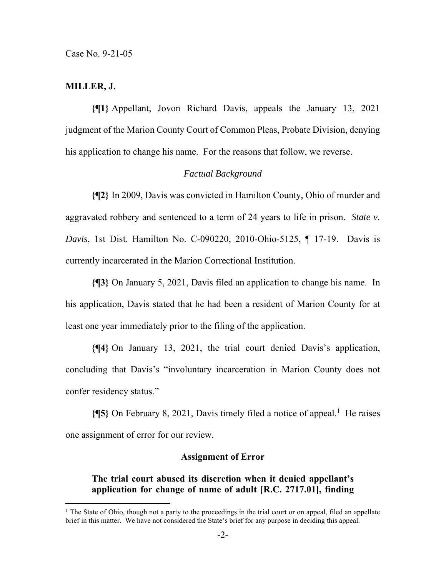Case No. 9-21-05

#### **MILLER, J.**

**{¶1}** Appellant, Jovon Richard Davis, appeals the January 13, 2021 judgment of the Marion County Court of Common Pleas, Probate Division, denying his application to change his name. For the reasons that follow, we reverse.

#### *Factual Background*

**{¶2}** In 2009, Davis was convicted in Hamilton County, Ohio of murder and aggravated robbery and sentenced to a term of 24 years to life in prison. *State v. Davis*, 1st Dist. Hamilton No. C-090220, 2010-Ohio-5125, ¶ 17-19. Davis is currently incarcerated in the Marion Correctional Institution.

**{¶3}** On January 5, 2021, Davis filed an application to change his name. In his application, Davis stated that he had been a resident of Marion County for at least one year immediately prior to the filing of the application.

**{¶4}** On January 13, 2021, the trial court denied Davis's application, concluding that Davis's "involuntary incarceration in Marion County does not confer residency status."

**{¶5}** On February 8, 2021, Davis timely filed a notice of appeal.<sup>1</sup> He raises one assignment of error for our review.

#### **Assignment of Error**

## **The trial court abused its discretion when it denied appellant's application for change of name of adult [R.C. 2717.01], finding**

<sup>&</sup>lt;sup>1</sup> The State of Ohio, though not a party to the proceedings in the trial court or on appeal, filed an appellate brief in this matter. We have not considered the State's brief for any purpose in deciding this appeal.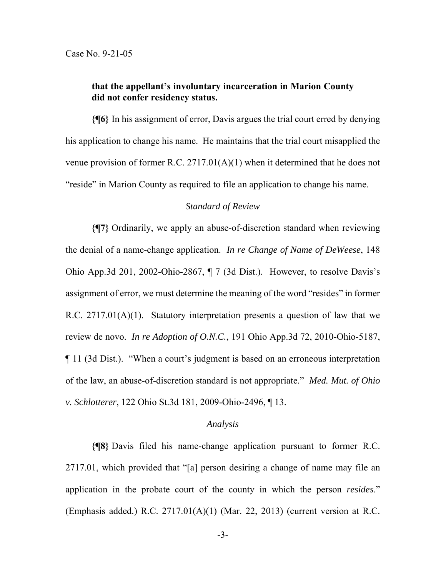## **that the appellant's involuntary incarceration in Marion County did not confer residency status.**

**{¶6}** In his assignment of error, Davis argues the trial court erred by denying his application to change his name. He maintains that the trial court misapplied the venue provision of former R.C. 2717.01(A)(1) when it determined that he does not "reside" in Marion County as required to file an application to change his name.

## *Standard of Review*

**{¶7}** Ordinarily, we apply an abuse-of-discretion standard when reviewing the denial of a name-change application. *In re Change of Name of DeWeese*, 148 Ohio App.3d 201, 2002-Ohio-2867, ¶ 7 (3d Dist.). However, to resolve Davis's assignment of error, we must determine the meaning of the word "resides" in former R.C. 2717.01(A)(1). Statutory interpretation presents a question of law that we review de novo. *In re Adoption of O.N.C.*, 191 Ohio App.3d 72, 2010-Ohio-5187, ¶ 11 (3d Dist.). "When a court's judgment is based on an erroneous interpretation of the law, an abuse-of-discretion standard is not appropriate." *Med. Mut. of Ohio v. Schlotterer*, 122 Ohio St.3d 181, 2009-Ohio-2496, ¶ 13.

#### *Analysis*

**{¶8}** Davis filed his name-change application pursuant to former R.C. 2717.01, which provided that "[a] person desiring a change of name may file an application in the probate court of the county in which the person *resides*." (Emphasis added.) R.C. 2717.01(A)(1) (Mar. 22, 2013) (current version at R.C.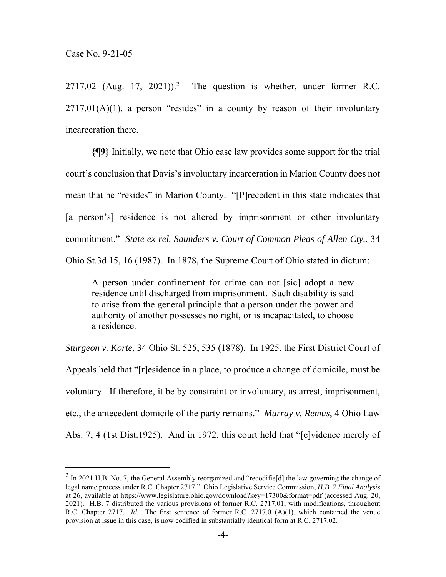$2717.02$  (Aug. 17, 2021)).<sup>2</sup> The question is whether, under former R.C.  $2717.01(A)(1)$ , a person "resides" in a county by reason of their involuntary incarceration there.

**{¶9}** Initially, we note that Ohio case law provides some support for the trial court's conclusion that Davis's involuntary incarceration in Marion County does not mean that he "resides" in Marion County. "[P]recedent in this state indicates that [a person's] residence is not altered by imprisonment or other involuntary commitment." *State ex rel. Saunders v. Court of Common Pleas of Allen Cty.*, 34 Ohio St.3d 15, 16 (1987). In 1878, the Supreme Court of Ohio stated in dictum:

A person under confinement for crime can not [sic] adopt a new residence until discharged from imprisonment. Such disability is said to arise from the general principle that a person under the power and authority of another possesses no right, or is incapacitated, to choose a residence.

*Sturgeon v. Korte*, 34 Ohio St. 525, 535 (1878). In 1925, the First District Court of Appeals held that "[r]esidence in a place, to produce a change of domicile, must be voluntary. If therefore, it be by constraint or involuntary, as arrest, imprisonment, etc., the antecedent domicile of the party remains." *Murray v. Remus*, 4 Ohio Law Abs. 7, 4 (1st Dist.1925). And in 1972, this court held that "[e]vidence merely of

<sup>&</sup>lt;sup>2</sup> In 2021 H.B. No. 7, the General Assembly reorganized and "recodifie[d] the law governing the change of legal name process under R.C. Chapter 2717." Ohio Legislative Service Commission, *H.B. 7 Final Analysis* at 26, available at https://www.legislature.ohio.gov/download?key=17300&format=pdf (accessed Aug. 20, 2021). H.B. 7 distributed the various provisions of former R.C. 2717.01, with modifications, throughout R.C. Chapter 2717. *Id.* The first sentence of former R.C. 2717.01(A)(1), which contained the venue provision at issue in this case, is now codified in substantially identical form at R.C. 2717.02.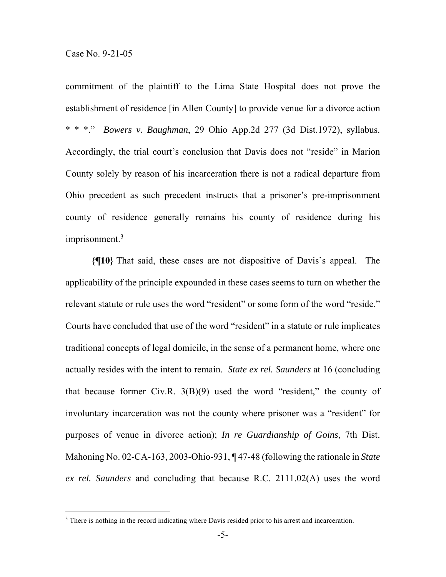commitment of the plaintiff to the Lima State Hospital does not prove the establishment of residence [in Allen County] to provide venue for a divorce action \* \* \*." *Bowers v. Baughman*, 29 Ohio App.2d 277 (3d Dist.1972), syllabus. Accordingly, the trial court's conclusion that Davis does not "reside" in Marion County solely by reason of his incarceration there is not a radical departure from Ohio precedent as such precedent instructs that a prisoner's pre-imprisonment county of residence generally remains his county of residence during his imprisonment.3

**{¶10}** That said, these cases are not dispositive of Davis's appeal. The applicability of the principle expounded in these cases seems to turn on whether the relevant statute or rule uses the word "resident" or some form of the word "reside." Courts have concluded that use of the word "resident" in a statute or rule implicates traditional concepts of legal domicile, in the sense of a permanent home, where one actually resides with the intent to remain. *State ex rel. Saunders* at 16 (concluding that because former Civ.R. 3(B)(9) used the word "resident," the county of involuntary incarceration was not the county where prisoner was a "resident" for purposes of venue in divorce action); *In re Guardianship of Goins*, 7th Dist. Mahoning No. 02-CA-163, 2003-Ohio-931, ¶ 47-48 (following the rationale in *State ex rel. Saunders* and concluding that because R.C. 2111.02(A) uses the word

<sup>&</sup>lt;sup>3</sup> There is nothing in the record indicating where Davis resided prior to his arrest and incarceration.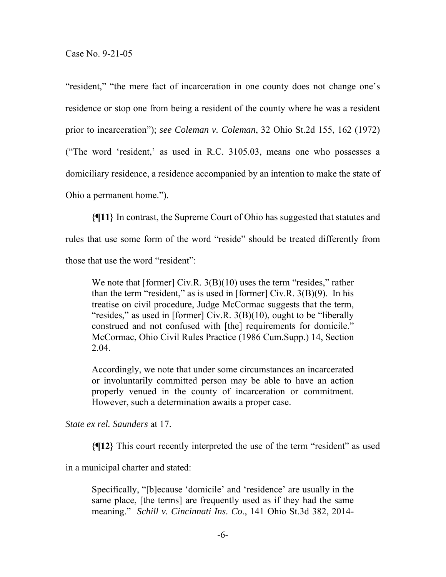"resident," "the mere fact of incarceration in one county does not change one's residence or stop one from being a resident of the county where he was a resident prior to incarceration"); *see Coleman v. Coleman*, 32 Ohio St.2d 155, 162 (1972) ("The word 'resident,' as used in R.C. 3105.03, means one who possesses a domiciliary residence, a residence accompanied by an intention to make the state of Ohio a permanent home.").

**{¶11}** In contrast, the Supreme Court of Ohio has suggested that statutes and rules that use some form of the word "reside" should be treated differently from those that use the word "resident":

We note that [former] Civ.R.  $3(B)(10)$  uses the term "resides," rather than the term "resident," as is used in [former] Civ.R.  $3(B)(9)$ . In his treatise on civil procedure, Judge McCormac suggests that the term, "resides," as used in [former] Civ.R. 3(B)(10), ought to be "liberally construed and not confused with [the] requirements for domicile." McCormac, Ohio Civil Rules Practice (1986 Cum.Supp.) 14, Section 2.04.

Accordingly, we note that under some circumstances an incarcerated or involuntarily committed person may be able to have an action properly venued in the county of incarceration or commitment. However, such a determination awaits a proper case.

*State ex rel. Saunders* at 17.

**{¶12}** This court recently interpreted the use of the term "resident" as used

in a municipal charter and stated:

Specifically, "[b]ecause 'domicile' and 'residence' are usually in the same place, [the terms] are frequently used as if they had the same meaning." *Schill v. Cincinnati Ins. Co*., 141 Ohio St.3d 382, 2014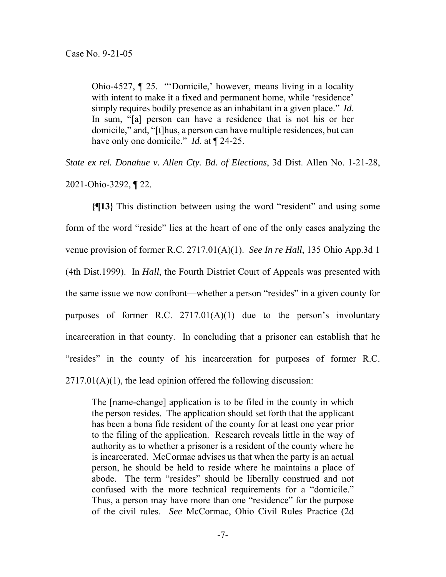Ohio-4527, ¶ 25. "'Domicile,' however, means living in a locality with intent to make it a fixed and permanent home, while 'residence' simply requires bodily presence as an inhabitant in a given place." *Id*. In sum, "[a] person can have a residence that is not his or her domicile," and, "[t]hus, a person can have multiple residences, but can have only one domicile." *Id*. at ¶ 24-25.

*State ex rel. Donahue v. Allen Cty. Bd. of Elections*, 3d Dist. Allen No. 1-21-28, 2021-Ohio-3292, ¶ 22.

**{¶13}** This distinction between using the word "resident" and using some form of the word "reside" lies at the heart of one of the only cases analyzing the venue provision of former R.C. 2717.01(A)(1). *See In re Hall*, 135 Ohio App.3d 1 (4th Dist.1999). In *Hall*, the Fourth District Court of Appeals was presented with the same issue we now confront—whether a person "resides" in a given county for purposes of former R.C.  $2717.01(A)(1)$  due to the person's involuntary incarceration in that county. In concluding that a prisoner can establish that he "resides" in the county of his incarceration for purposes of former R.C.  $2717.01(A)(1)$ , the lead opinion offered the following discussion:

The [name-change] application is to be filed in the county in which the person resides. The application should set forth that the applicant has been a bona fide resident of the county for at least one year prior to the filing of the application. Research reveals little in the way of authority as to whether a prisoner is a resident of the county where he is incarcerated. McCormac advises us that when the party is an actual person, he should be held to reside where he maintains a place of abode. The term "resides" should be liberally construed and not confused with the more technical requirements for a "domicile." Thus, a person may have more than one "residence" for the purpose of the civil rules. *See* McCormac, Ohio Civil Rules Practice (2d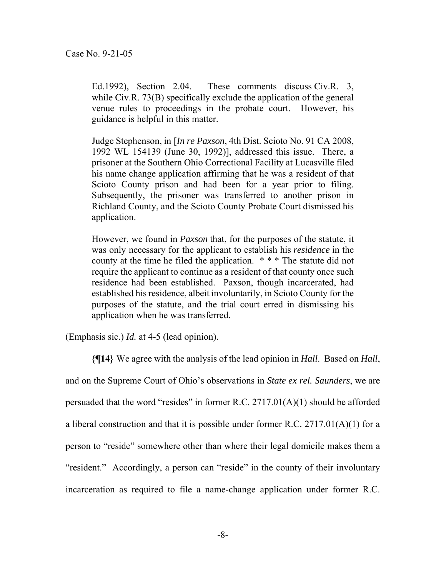Ed.1992), Section 2.04. These comments discuss Civ.R. 3, while Civ.R. 73(B) specifically exclude the application of the general venue rules to proceedings in the probate court. However, his guidance is helpful in this matter.

Judge Stephenson, in [*In re Paxson*, 4th Dist. Scioto No. 91 CA 2008, 1992 WL 154139 (June 30, 1992)], addressed this issue. There, a prisoner at the Southern Ohio Correctional Facility at Lucasville filed his name change application affirming that he was a resident of that Scioto County prison and had been for a year prior to filing. Subsequently, the prisoner was transferred to another prison in Richland County, and the Scioto County Probate Court dismissed his application.

However, we found in *Paxson* that, for the purposes of the statute, it was only necessary for the applicant to establish his *residence* in the county at the time he filed the application. \* \* \* The statute did not require the applicant to continue as a resident of that county once such residence had been established. Paxson, though incarcerated, had established his residence, albeit involuntarily, in Scioto County for the purposes of the statute, and the trial court erred in dismissing his application when he was transferred.

(Emphasis sic.) *Id.* at 4-5 (lead opinion).

**{¶14}** We agree with the analysis of the lead opinion in *Hall*. Based on *Hall*, and on the Supreme Court of Ohio's observations in *State ex rel. Saunders*, we are persuaded that the word "resides" in former R.C. 2717.01(A)(1) should be afforded a liberal construction and that it is possible under former R.C. 2717.01(A)(1) for a person to "reside" somewhere other than where their legal domicile makes them a "resident." Accordingly, a person can "reside" in the county of their involuntary incarceration as required to file a name-change application under former R.C.